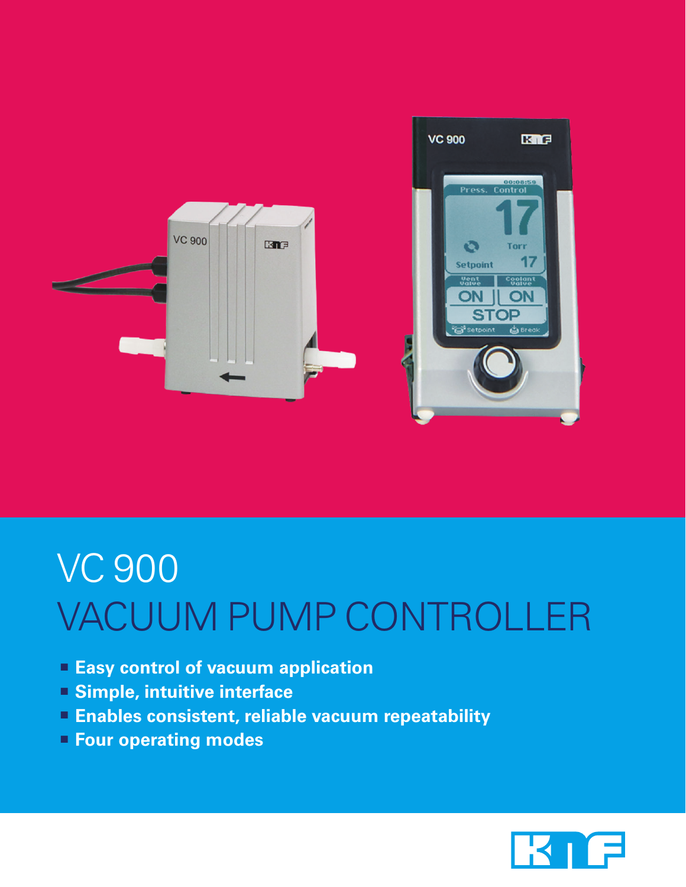

## VC 900 Vacuum pump controller

- **Easy control of vacuum application**
- **Simple, intuitive interface**
- **Enables consistent, reliable vacuum repeatability**
- **Four operating modes**